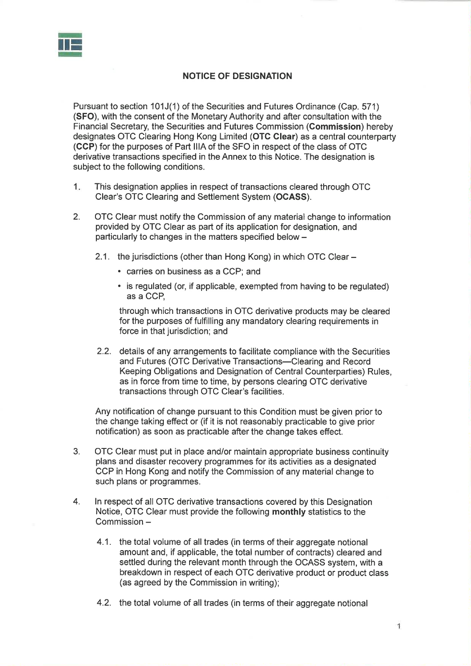

## NOTICE OF DESIGNATION

Pursuant to section 101J(1) of the Securities and Futures Ordinance (Cap. 571) (SFO), with the consent of the Monetary Authority and after consultation with the Financial Secretary, the Securities and Futures Commission (Gommission) hereby designates OTC Clearing Hong Kong Limited (OTG Glear) as a central counterparty (CCP) for the purposes of Part lllA of the SFO in respect of the class of OTC derivative transactions specified in the Annex to this Notice. The designation is subject to the following conditions.

- 1 This designation applies in respect of transactions cleared through OTC Clear's OTC Clearing and Settlement System (OCASS).
- 2. OTC Clear must notify the Commission of any material change to information provided by OTC Clear as part of its application for designation, and particularly to changes in the matters specified below -
	- 2.1. the jurisdictions (other than Hong Kong) in which OTC Clear -
		- . carries on business as a CCP; and
		- . is regulated (or, if applicable, exempted from having to be regulated) as a CCP,

through which transactions in OTC derivative products may be cleared for the purposes of fulfilling any mandatory clearing requirements in force in that jurisdiction; and

2.2. details of any arrangements to facilitate compliance with the Securities and Futures (OTC Derivative Transactions-Clearing and Record Keeping Obligations and Designation of Central Counterparties) Rules, as in force from time to time, by persons clearing OTC derivative transactions through OTC Clear's facilities.

Any notification of change pursuant to this Condition must be given prior to the change taking effect or (if it is not reasonably practicable to give prior notification) as soon as practicable after the change takes effect.

- 3. OTC Clear must put in place and/or maintain appropriate business continuity plans and disaster recovery programmes for its activities as a designated CCP in Hong Kong and notify the Commission of any material change to such plans or programmes.
- 4. ln respect of all OTC derivative transactions covered by this Designation Notice, OTC Clear must provide the following monthly statistics to the Commission -
	- 4.1. the total volume of all trades (in terms of their aggregate notional amount and, if applicable, the total number of contracts) cleared and settled during the relevant month through the OCASS system, with a breakdown in respect of each OTC derivative product or product class (as agreed by the Commission in writing);
	- 4.2. the total volume of all trades (in terms of their aggregate notional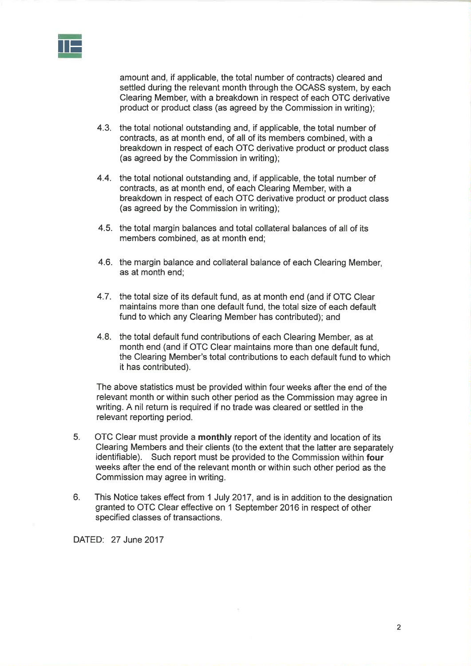

amount and, if applicable, the total number of contracts) cleared and settled during the relevant month through the OCASS system, by each Clearing Member, with a breakdown in respect of each OTC derivative product or product class (as agreed by the Commission in writing);

- 4.3. the total notional outstanding and, if applicable, the total number of contracts, as at month end, of all of its members combined, with a breakdown in respect of each OTC derivative product or product class (as agreed by the Commission in writing);
- 4.4. the total notional outstanding and, if applicable, the total number of contracts, as at month end, of each Clearing Member, with a breakdown in respect of each OTC derivative product or product class (as agreed by the Commission in writing);
- 4.5. the total margin balances and total collateral balances of all of its members combined, as at month end;
- 4.6. the margin balance and collateral balance of each Clearing Member, as at month end;
- 4.7. the total size of its default fund, as at month end (and if OTC Clear maintains more than one default fund, the total size of each default fund to which any Clearing Member has contributed); and
- 4.8. the total default fund contributions of each Clearing Member, as at month end (and if OTC Clear maintains more than one default fund, the Clearing Member's total contributions to each default fund to which it has contributed).

The above statistics must be provided within four weeks after the end of the relevant month or within such other period as the Commission may agree in writing. A nil return is required if no trade was cleared or settled in the relevant reporting period.

- OTC Clear must provide a monthly report of the identity and location of its Clearing Members and their clients (to the extent that the latter are separately identifiable). Such report must be provided to the Commission within four weeks after the end of the relevant month or within such other period as the Commission may agree in writing. 5.
- 6. This Notice takes effect from 1 July 2017, and is in addition to the designation granted to OTC Clear effective on 1 September 2016 in respect of other specified classes of transactions.

DATED: 27 June 2017